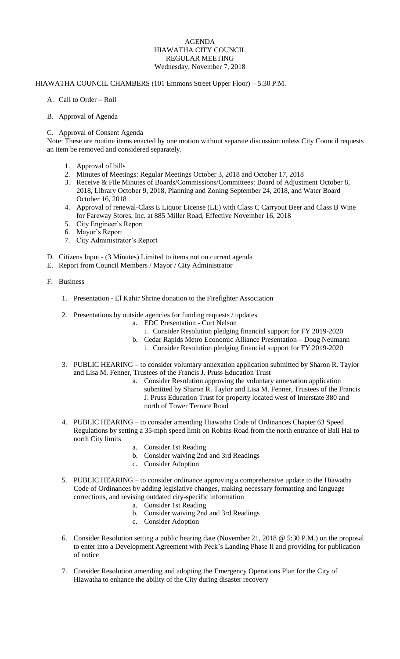## AGENDA HIAWATHA CITY COUNCIL REGULAR MEETING Wednesday, November 7, 2018

## HIAWATHA COUNCIL CHAMBERS (101 Emmons Street Upper Floor) – 5:30 P.M.

- A. Call to Order Roll
- B. Approval of Agenda
- C. Approval of Consent Agenda

Note: These are routine items enacted by one motion without separate discussion unless City Council requests an item be removed and considered separately.

- 1. Approval of bills
- 2. Minutes of Meetings: Regular Meetings October 3, 2018 and October 17, 2018
- 3. Receive & File Minutes of Boards/Commissions/Committees: Board of Adjustment October 8, 2018, Library October 9, 2018, Planning and Zoning September 24, 2018, and Water Board October 16, 2018
- 4. Approval of renewal-Class E Liquor License (LE) with Class C Carryout Beer and Class B Wine for Fareway Stores, Inc. at 885 Miller Road, Effective November 16, 2018
- 5. City Engineer's Report
- 6. Mayor's Report
- 7. City Administrator's Report
- D. Citizens Input (3 Minutes) Limited to items not on current agenda
- E. Report from Council Members / Mayor / City Administrator
- F. Business
	- 1. Presentation El Kahir Shrine donation to the Firefighter Association
	- 2. Presentations by outside agencies for funding requests / updates
		- a. EDC Presentation Curt Nelson
			- i. Consider Resolution pledging financial support for FY 2019-2020
		- b. Cedar Rapids Metro Economic Alliance Presentation Doug Neumann
			- i. Consider Resolution pledging financial support for FY 2019-2020
	- 3. PUBLIC HEARING to consider voluntary annexation application submitted by Sharon R. Taylor and Lisa M. Fenner, Trustees of the Francis J. Pruss Education Trust
		- a. Consider Resolution approving the voluntary annexation application submitted by Sharon R. Taylor and Lisa M. Fenner, Trustees of the Francis J. Pruss Education Trust for property located west of Interstate 380 and north of Tower Terrace Road
	- 4. PUBLIC HEARING to consider amending Hiawatha Code of Ordinances Chapter 63 Speed Regulations by setting a 35-mph speed limit on Robins Road from the north entrance of Bali Hai to north City limits
		- a. Consider 1st Reading
		- b. Consider waiving 2nd and 3rd Readings
		- c. Consider Adoption
	- 5. PUBLIC HEARING to consider ordinance approving a comprehensive update to the Hiawatha Code of Ordinances by adding legislative changes, making necessary formatting and language corrections, and revising outdated city-specific information
		- a. Consider 1st Reading
		- b. Consider waiving 2nd and 3rd Readings
		- c. Consider Adoption
	- 6. Consider Resolution setting a public hearing date (November 21, 2018 @ 5:30 P.M.) on the proposal to enter into a Development Agreement with Peck's Landing Phase II and providing for publication of notice
	- 7. Consider Resolution amending and adopting the Emergency Operations Plan for the City of Hiawatha to enhance the ability of the City during disaster recovery